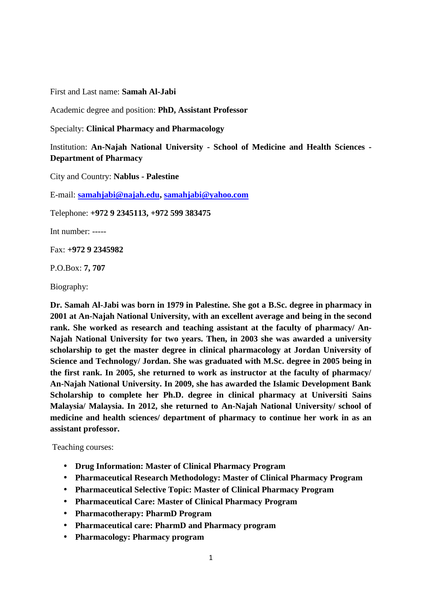First and Last name: **Samah Al-Jabi**

Academic degree and position: **PhD, Assistant Professor**

Specialty: **Clinical Pharmacy and Pharmacology**

Institution: **An-Najah National University - School of Medicine and Health Sciences - Department of Pharmacy**

City and Country: **Nablus - Palestine**

E-mail: **samahjabi@najah.edu, samahjabi@yahoo.com**

Telephone: **+972 9 2345113, +972 599 383475**

Int number: -----

Fax: **+972 9 2345982**

P.O.Box: **7, 707**

Biography:

**Dr. Samah Al-Jabi was born in 1979 in Palestine. She got a B.Sc. degree in pharmacy in 2001 at An-Najah National University, with an excellent average and being in the second rank. She worked as research and teaching assistant at the faculty of pharmacy/ An- Najah National University for two years. Then, in 2003 she was awarded a university scholarship to get the master degree in clinical pharmacology at Jordan University of Science and Technology/ Jordan. She was graduated with M.Sc. degree in 2005 being in the first rank. In 2005, she returned to work as instructor at the faculty of pharmacy/ An-Najah National University. In 2009, she has awarded the Islamic Development Bank Scholarship to complete her Ph.D. degree in clinical pharmacy at Universiti Sains Malaysia/ Malaysia. In 2012, she returned to An-Najah National University/ school of medicine and health sciences/ department of pharmacy to continue her work in as an assistant professor.**

Teaching courses:

- **Drug Information: Master of Clinical Pharmacy Program**
- **Pharmaceutical Research Methodology: Master of Clinical Pharmacy Program**
- **Pharmaceutical Selective Topic: Master of Clinical Pharmacy Program**
- **Pharmaceutical Care: Master of Clinical Pharmacy Program**
- **Pharmacotherapy: PharmD Program**
- **Pharmaceutical care: PharmD and Pharmacy program**
- **Pharmacology: Pharmacy program**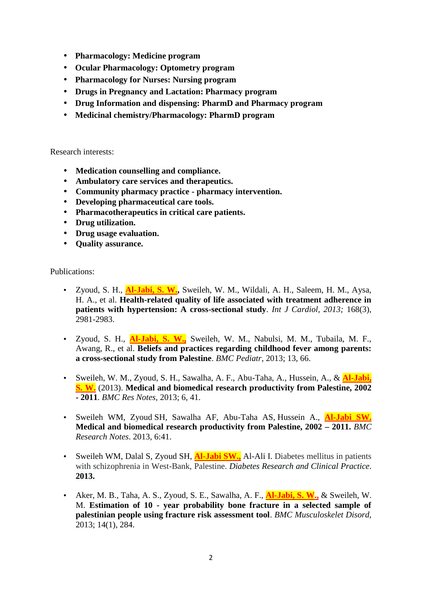- **Pharmacology: Medicine program**
- **Ocular Pharmacology: Optometry program**
- **Pharmacology for Nurses: Nursing program**
- **Drugs in Pregnancy and Lactation: Pharmacy program**
- **Drug Information and dispensing: PharmD and Pharmacy program**
- **Medicinal chemistry/Pharmacology: PharmD program**

Research interests:

- **Medication counselling and compliance.**
- **Ambulatory care services and therapeutics.**
- **Community pharmacy practice pharmacy intervention.**
- **Developing pharmaceutical care tools.**
- **Pharmacotherapeutics in critical care patients.**
- **Drug utilization.**
- **Drug usage evaluation.**
- **Quality assurance.**

Publications:

- Zyoud, S. H., **Al-Jabi, S. W.,** Sweileh, W. M., Wildali, A. H., Saleem, H. M., Aysa, H. A., et al. **Health-related quality of life associated with treatment adherence in patients with hypertension: A cross-sectional study**. *Int J Cardiol, 2013;* 168(3), 2981-2983.
- Zyoud, S. H., **Al-Jabi, S. W.,** Sweileh, W. M., Nabulsi, M. M., Tubaila, M. F., Awang, R., et al. **Beliefs and practices regarding childhood fever among parents: a cross-sectional study from Palestine**. *BMC Pediatr*, 2013; 13, 66.
- Sweileh, W. M., Zyoud, S. H., Sawalha, A. F., Abu-Taha, A., Hussein, A., & **Al-Jabi, S. W.** (2013). **Medical and biomedical research productivity from Palestine, 2002 - 2011**. *BMC Res Notes,* 2013; 6, 41.
- Sweileh WM, Zyoud SH, Sawalha AF, Abu-Taha AS, Hussein A., **Al-Jabi SW. Medical and biomedical research productivity from Palestine, 2002 – 2011.** *BMC Research Notes*. 2013, 6:41.
- Sweileh WM, Dalal S, Zyoud SH, **Al-Jabi SW.,** Al-Ali I. Diabetes mellitus in patients with schizophrenia in West-Bank, Palestine. *Diabetes Research and Clinical Practice*. **2013.**
- Aker, M. B., Taha, A. S., Zyoud, S. E., Sawalha, A. F., **Al-Jabi, S. W.,** & Sweileh, W. M. **Estimation of 10 - year probability bone fracture in a selected sample of palestinian people using fracture risk assessment tool**. *BMC Musculoskelet Disord,* 2013; 14(1), 284.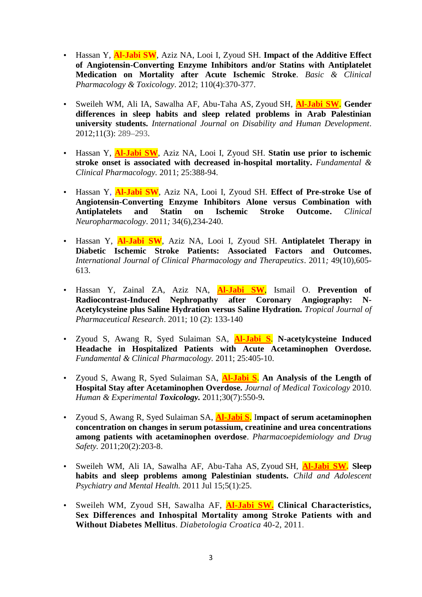- Hassan Y, **Al-Jabi SW**, Aziz NA, Looi I, Zyoud SH. **Impact of the Additive Effect of Angiotensin-Converting Enzyme Inhibitors and/or Statins with Antiplatelet Medication on Mortality after Acute Ischemic Stroke**. *Basic & Clinical Pharmacology & Toxicology*. 2012; 110(4):370-377.
- Sweileh WM, Ali IA, Sawalha AF, Abu-Taha AS, Zyoud SH, **Al-Jabi SW**. **Gender differences in sleep habits and sleep related problems in Arab Palestinian university students.** *International Journal on Disability and Human Development*. 2012;11(3): 289–293.
- Hassan Y, **Al-Jabi SW**, Aziz NA, Looi I, Zyoud SH. **Statin use prior to ischemic stroke onset is associated with decreased in-hospital mortality.** *Fundamental & Clinical Pharmacology.* 2011; 25:388-94.
- Hassan Y, **Al-Jabi SW**, Aziz NA, Looi I, Zyoud SH. **Effect of Pre-stroke Use of Angiotensin-Converting Enzyme Inhibitors Alone versus Combination with Antiplatelets and Statin on Ischemic Stroke Outcome.** *Clinical Neuropharmacology*. 2011*;* 34(6),234-240.
- Hassan Y, **Al-Jabi SW**, Aziz NA, Looi I, Zyoud SH. **Antiplatelet Therapy in Diabetic Ischemic Stroke Patients: Associated Factors and Outcomes.** *International Journal of Clinical Pharmacology and Therapeutics*. 2011*;* 49(10),605- 613.
- Hassan Y, Zainal ZA, Aziz NA, **Al-Jabi SW**, Ismail O. **Prevention of Radiocontrast-Induced Nephropathy after Coronary Angiography: N- Acetylcysteine plus Saline Hydration versus Saline Hydration.** *Tropical Journal of Pharmaceutical Research*. 2011; 10 (2): 133-140
- Zyoud S, Awang R, Syed Sulaiman SA, **Al-Jabi S**. **N-acetylcysteine Induced Headache in Hospitalized Patients with Acute Acetaminophen Overdose.** *Fundamental & Clinical Pharmacology.* 2011; 25:405-10.
- Zyoud S, Awang R, Syed Sulaiman SA, **Al-Jabi S**. **An Analysis of the Length of Hospital Stay after Acetaminophen Overdose.** *Journal of Medical Toxicology* 2010. *Human & Experimental Toxicology.* 2011;30(7):550-9**.**
- Zyoud S, Awang R, Syed Sulaiman SA, **Al-Jabi S**. I**mpact of serum acetaminophen concentration on changes in serum potassium, creatinine and urea concentrations among patients with acetaminophen overdose**. *Pharmacoepidemiology and Drug Safety.* 2011;20(2):203-8.
- Sweileh WM, Ali IA, Sawalha AF, Abu-Taha AS, Zyoud SH, **Al-Jabi SW. Sleep habits and sleep problems among Palestinian students.** *Child and Adolescent Psychiatry and Mental Health.* 2011 Jul 15;5(1):25.
- Sweileh WM, Zyoud SH, Sawalha AF, **Al-Jabi SW. Clinical Characteristics, Sex Differences and Inhospital Mortality among Stroke Patients with and Without Diabetes Mellitus**. *Diabetologia Croatica* 40-2, 2011.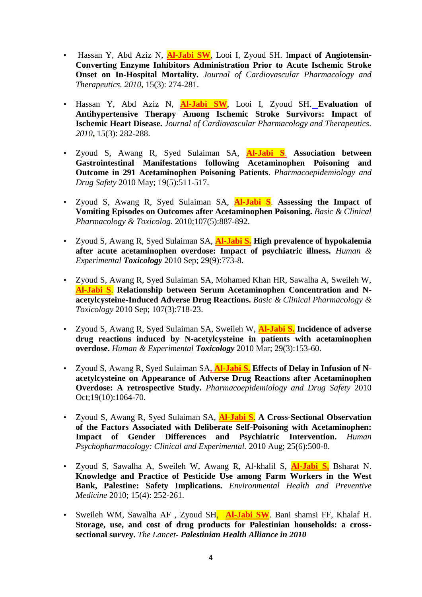- Hassan Y, Abd Aziz N, **Al-Jabi SW**, Looi I, Zyoud SH. I**mpact of Angiotensin- Converting Enzyme Inhibitors Administration Prior to Acute Ischemic Stroke Onset on In-Hospital Mortality.** *Journal of Cardiovascular Pharmacology and Therapeutics. 2010***,** 15(3): 274-281.
- Hassan Y, Abd Aziz N, **Al-Jabi SW**, Looi I, Zyoud SH. **Evaluation of Antihypertensive Therapy Among Ischemic Stroke Survivors: Impact of Ischemic Heart Disease.** *Journal of Cardiovascular Pharmacology and Therapeutics. 2010***,** 15(3): 282-288.
- Zyoud S, Awang R, Syed Sulaiman SA, **Al-Jabi S**. **Association between Gastrointestinal Manifestations following Acetaminophen Poisoning and Outcome in 291 Acetaminophen Poisoning Patients**. *Pharmacoepidemiology and Drug Safety* 2010 May; 19(5):511-517.
- Zyoud S, Awang R, Syed Sulaiman SA, **Al-Jabi S**. **Assessing the Impact of Vomiting Episodes on Outcomes after Acetaminophen Poisoning.** *Basic & Clinical Pharmacology & Toxicolog*. 2010;107(5):887-892.
- Zyoud S, Awang R, Syed Sulaiman SA, **Al-Jabi S. High prevalence of hypokalemia after acute acetaminophen overdose: Impact of psychiatric illness.** *Human & Experimental Toxicology* 2010 Sep; 29(9):773-8.
- Zyoud S, Awang R, Syed Sulaiman SA, Mohamed Khan HR, Sawalha A, Sweileh W, **Al-Jabi S**. **Relationship between Serum Acetaminophen Concentration and N acetylcysteine-Induced Adverse Drug Reactions.** *Basic & Clinical Pharmacology & Toxicology* 2010 Sep; 107(3):718-23.
- Zyoud S, Awang R, Syed Sulaiman SA, Sweileh W, **Al-Jabi S. Incidence of adverse drug reactions induced by N-acetylcysteine in patients with acetaminophen overdose.** *Human & Experimental Toxicology* 2010 Mar; 29(3):153-60.
- Zyoud S, Awang R, Syed Sulaiman SA**, Al-Jabi S. Effects of Delay in Infusion of N acetylcysteine on Appearance of Adverse Drug Reactions after Acetaminophen Overdose: A retrospective Study.** *Pharmacoepidemiology and Drug Safety* 2010 Oct;19(10):1064-70.
- Zyoud S, Awang R, Syed Sulaiman SA, **Al-Jabi S**. **A Cross-Sectional Observation of the Factors Associated with Deliberate Self-Poisoning with Acetaminophen: Impact of Gender Differences and Psychiatric Intervention.** *Human Psychopharmacology: Clinical and Experimental.* 2010 Aug; 25(6):500-8.
- Zyoud S, Sawalha A, Sweileh W, Awang R, Al-khalil S, **Al-Jabi S,** Bsharat N. **Knowledge and Practice of Pesticide Use among Farm Workers in the West Bank, Palestine: Safety Implications.** *Environmental Health and Preventive Medicine* 2010; 15(4): 252-261.
- Sweileh WM, Sawalha AF , Zyoud SH, **Al-Jabi SW**. Bani shamsi FF, Khalaf H. **Storage, use, and cost of drug products for Palestinian households: a cross sectional survey.** *The Lancet- Palestinian Health Alliance in 2010*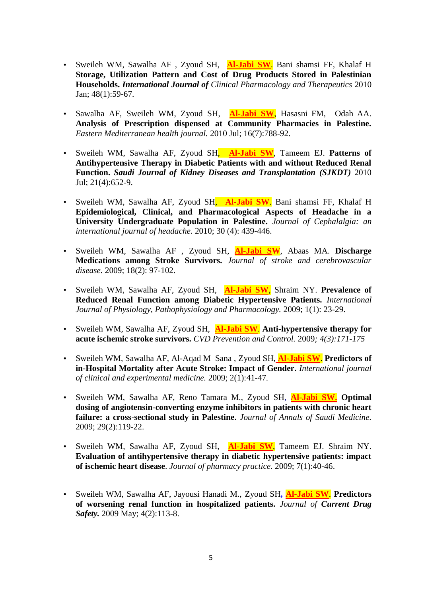- Sweileh WM, Sawalha AF , Zyoud SH, **Al-Jabi SW**. Bani shamsi FF, Khalaf H **Storage, Utilization Pattern and Cost of Drug Products Stored in Palestinian Households.** *International Journal of Clinical Pharmacology and Therapeutics* 2010 Jan; 48(1):59-67.
- Sawalha AF, Sweileh WM, Zyoud SH, **Al-Jabi SW**, Hasasni FM, Odah AA. **Analysis of Prescription dispensed at Community Pharmacies in Palestine.** *Eastern Mediterranean health journal.* 2010 Jul; 16(7):788-92.
- Sweileh WM, Sawalha AF, Zyoud SH, **Al-Jabi SW**, Tameem EJ. **Patterns of Antihypertensive Therapy in Diabetic Patients with and without Reduced Renal Function.** *Saudi Journal of Kidney Diseases and Transplantation (SJKDT)* 2010 Jul; 21(4):652-9.
- Sweileh WM, Sawalha AF, Zyoud SH, **Al-Jabi SW**. Bani shamsi FF, Khalaf H **Epidemiological, Clinical, and Pharmacological Aspects of Headache in a University Undergraduate Population in Palestine.** *Journal of Cephalalgia: an international journal of headache.* 2010; 30 (4): 439-446.
- Sweileh WM, Sawalha AF , Zyoud SH, **Al-Jabi SW**, Abaas MA. **Discharge Medications among Stroke Survivors.** *Journal of stroke and cerebrovascular disease.* 2009; 18(2): 97-102.
- Sweileh WM, Sawalha AF, Zyoud SH, **Al-Jabi SW**, Shraim NY. **Prevalence of Reduced Renal Function among Diabetic Hypertensive Patients.** *International Journal of Physiology, Pathophysiology and Pharmacology.* 2009; 1(1): 23-29.
- Sweileh WM, Sawalha AF, Zyoud SH, **Al-Jabi SW**. **Anti-hypertensive therapy for acute ischemic stroke survivors.** *CVD Prevention and Control.* 2009*; 4(3):171-175*
- Sweileh WM, Sawalha AF, Al-Aqad M Sana , Zyoud SH, **Al-Jabi SW**. **Predictors of in-Hospital Mortality after Acute Stroke: Impact of Gender.** *International journal of clinical and experimental medicine.* 2009; 2(1):41-47*.*
- Sweileh WM, Sawalha AF, Reno Tamara M., Zyoud SH, **Al-Jabi SW. Optimal dosing of angiotensin-converting enzyme inhibitors in patients with chronic heart failure: a cross-sectional study in Palestine.** *Journal of Annals of Saudi Medicine.* 2009; 29(2):119-22.
- Sweileh WM, Sawalha AF, Zyoud SH, **Al-Jabi SW**, Tameem EJ. Shraim NY. **Evaluation of antihypertensive therapy in diabetic hypertensive patients: impact of ischemic heart disease**. *Journal of pharmacy practice.* 2009; 7(1):40-46.
- Sweileh WM, Sawalha AF, Jayousi Hanadi M., Zyoud SH**, Al-Jabi SW**. **Predictors of worsening renal function in hospitalized patients.** *Journal of Current Drug Safety.* 2009 May; 4(2):113-8.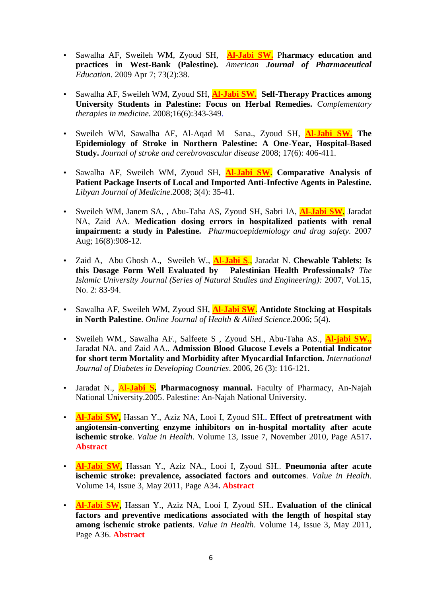- Sawalha AF, Sweileh WM, Zyoud SH, **Al-Jabi SW.** P**harmacy education and practices in West-Bank (Palestine).** *American Journal of Pharmaceutical Education.* 2009 Apr 7; 73(2):38.
- Sawalha AF, Sweileh WM, Zyoud SH, **Al-Jabi SW. Self-Therapy Practices among University Students in Palestine: Focus on Herbal Remedies.** *Complementary therapies in medicine.* 2008;16(6):343-349*.*
- Sweileh WM, Sawalha AF, Al-Aqad M Sana., Zyoud SH, **Al-Jabi SW. The Epidemiology of Stroke in Northern Palestine: A One-Year, Hospital-Based Study.** *Journal of stroke and cerebrovascular disease* 2008; 17(6): 406-411.
- Sawalha AF, Sweileh WM, Zyoud SH, **Al-Jabi SW**. **Comparative Analysis of Patient Package Inserts of Local and Imported Anti-Infective Agents in Palestine.** *Libyan Journal of Medicine*.2008; 3(4): 35-41.
- Sweileh WM, Janem SA, , Abu-Taha AS, Zyoud SH, Sabri IA, **Al-Jabi SW**, Jaradat NA, Zaid AA. **Medication dosing errors in hospitalized patients with renal impairment: a study in Palestine.** *Pharmacoepidemiology and drug safety.* 2007 Aug; 16(8):908-12.
- Zaid A, Abu Ghosh A., Sweileh W., **Al-Jabi S**., Jaradat N. **Chewable Tablets: Is this Dosage Form Well Evaluated by Palestinian Health Professionals?** *The Islamic University Journal (Series of Natural Studies and Engineering):* 2007, Vol.15, No. 2: 83-94.
- Sawalha AF, Sweileh WM, Zyoud SH, **Al-Jabi SW**. **Antidote Stocking at Hospitals in North Palestine**. *Online Journal of Health & Allied Science*.2006; 5(4).
- Sweileh WM., Sawalha AF., Salfeete S , Zyoud SH., Abu-Taha AS., **Al-jabi SW.,** Jaradat NA. and Zaid AA.. **Admission Blood Glucose Levels a Potential Indicator for short term Mortality and Morbidity after Myocardial Infarction.** *International Journal of Diabetes in Developing Countries*. 2006, 26 (3): 116-121.
- Jaradat N., Al-**Jabi S. Pharmacognosy manual.** Faculty of Pharmacy, An-Najah National University.2005. Palestine: An-Najah National University.
- **Al-Jabi SW,** Hassan Y., Aziz NA, Looi I, Zyoud SH.**. Effect of pretreatment with angiotensin-converting enzyme inhibitors on in-hospital mortality after acute ischemic stroke**. *Value in Health*. Volume 13, Issue 7, November 2010, Page A517**. Abstract**
- **Al-Jabi SW,** Hassan Y., Aziz NA., Looi I, Zyoud SH.. **Pneumonia after acute ischemic stroke: prevalence, associated factors and outcomes**. *Value in Health*. Volume 14, Issue 3, May 2011, Page A34**. Abstract**
- **Al-Jabi SW,** Hassan Y., Aziz NA, Looi I, Zyoud SH.**. Evaluation of the clinical factors and preventive medications associated with the length of hospital stay among ischemic stroke patients**. *Value in Health*. Volume 14, Issue 3, May 2011, Page A36. **Abstract**